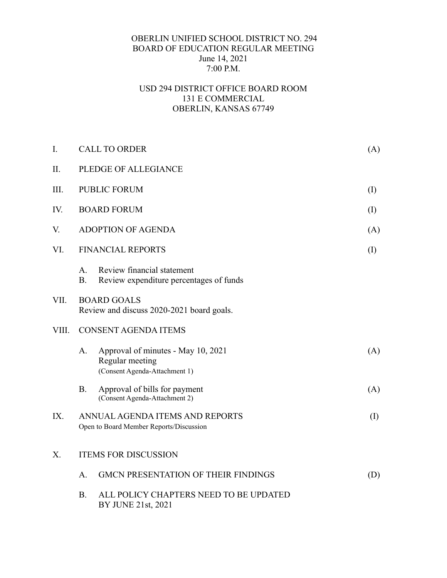## OBERLIN UNIFIED SCHOOL DISTRICT NO. 294 BOARD OF EDUCATION REGULAR MEETING June 14, 2021 7:00 P.M.

## USD 294 DISTRICT OFFICE BOARD ROOM 131 E COMMERCIAL OBERLIN, KANSAS 67749

| I.    | <b>CALL TO ORDER</b>                                                       |                                                                                        |     |  |
|-------|----------------------------------------------------------------------------|----------------------------------------------------------------------------------------|-----|--|
| Π.    | PLEDGE OF ALLEGIANCE                                                       |                                                                                        |     |  |
| III.  | <b>PUBLIC FORUM</b>                                                        |                                                                                        |     |  |
| IV.   | <b>BOARD FORUM</b>                                                         |                                                                                        |     |  |
| V.    | <b>ADOPTION OF AGENDA</b>                                                  |                                                                                        |     |  |
| VI.   | <b>FINANCIAL REPORTS</b>                                                   |                                                                                        |     |  |
|       | A.<br><b>B.</b>                                                            | Review financial statement<br>Review expenditure percentages of funds                  |     |  |
| VII.  | <b>BOARD GOALS</b><br>Review and discuss 2020-2021 board goals.            |                                                                                        |     |  |
| VIII. | <b>CONSENT AGENDA ITEMS</b>                                                |                                                                                        |     |  |
|       | A.                                                                         | Approval of minutes - May 10, 2021<br>Regular meeting<br>(Consent Agenda-Attachment 1) | (A) |  |
|       | <b>B.</b>                                                                  | Approval of bills for payment<br>(Consent Agenda-Attachment 2)                         | (A) |  |
| IX.   | ANNUAL AGENDA ITEMS AND REPORTS<br>Open to Board Member Reports/Discussion |                                                                                        | (I) |  |
| X.    | <b>ITEMS FOR DISCUSSION</b>                                                |                                                                                        |     |  |
|       | A.                                                                         | <b>GMCN PRESENTATION OF THEIR FINDINGS</b>                                             | (D) |  |
|       | <b>B.</b>                                                                  | ALL POLICY CHAPTERS NEED TO BE UPDATED<br>BY JUNE 21st, 2021                           |     |  |